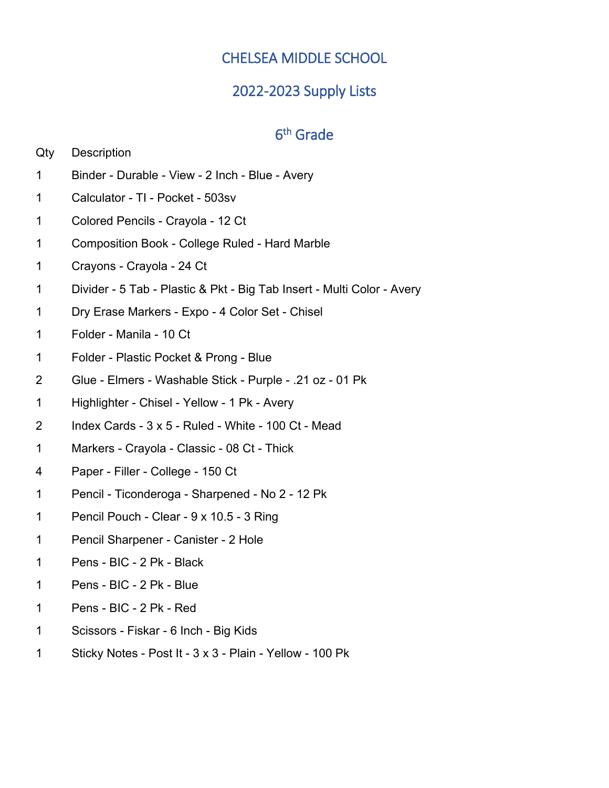# CHELSEA MIDDLE SCHOOL

## 2022-2023 Supply Lists

## 6th Grade

| Qty | Description |
|-----|-------------|
|-----|-------------|

- Binder Durable View 2 Inch Blue Avery
- Calculator TI Pocket 503sv
- Colored Pencils Crayola 12 Ct
- Composition Book College Ruled Hard Marble
- Crayons Crayola 24 Ct
- Divider 5 Tab Plastic & Pkt Big Tab Insert Multi Color Avery
- Dry Erase Markers Expo 4 Color Set Chisel
- Folder Manila 10 Ct
- Folder Plastic Pocket & Prong Blue
- Glue Elmers Washable Stick Purple .21 oz 01 Pk
- Highlighter Chisel Yellow 1 Pk Avery
- 2 Index Cards  $3 \times 5$  Ruled White 100 Ct Mead
- Markers Crayola Classic 08 Ct Thick
- Paper Filler College 150 Ct
- Pencil Ticonderoga Sharpened No 2 12 Pk
- Pencil Pouch Clear 9 x 10.5 3 Ring
- Pencil Sharpener Canister 2 Hole
- Pens BIC 2 Pk Black
- Pens BIC 2 Pk Blue
- Pens BIC 2 Pk Red
- Scissors Fiskar 6 Inch Big Kids
- Sticky Notes Post It 3 x 3 Plain Yellow 100 Pk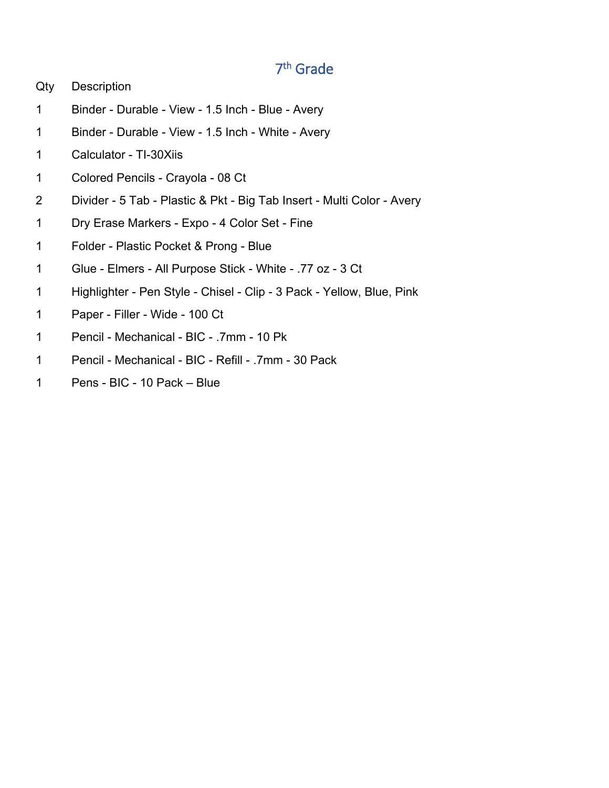# 7th Grade

- Qty Description
- Binder Durable View 1.5 Inch Blue Avery
- Binder Durable View 1.5 Inch White Avery
- Calculator TI-30Xiis
- Colored Pencils Crayola 08 Ct
- Divider 5 Tab Plastic & Pkt Big Tab Insert Multi Color Avery
- Dry Erase Markers Expo 4 Color Set Fine
- Folder Plastic Pocket & Prong Blue
- Glue Elmers All Purpose Stick White .77 oz 3 Ct
- Highlighter Pen Style Chisel Clip 3 Pack Yellow, Blue, Pink
- Paper Filler Wide 100 Ct
- Pencil Mechanical BIC .7mm 10 Pk
- Pencil Mechanical BIC Refill .7mm 30 Pack
- Pens BIC 10 Pack Blue